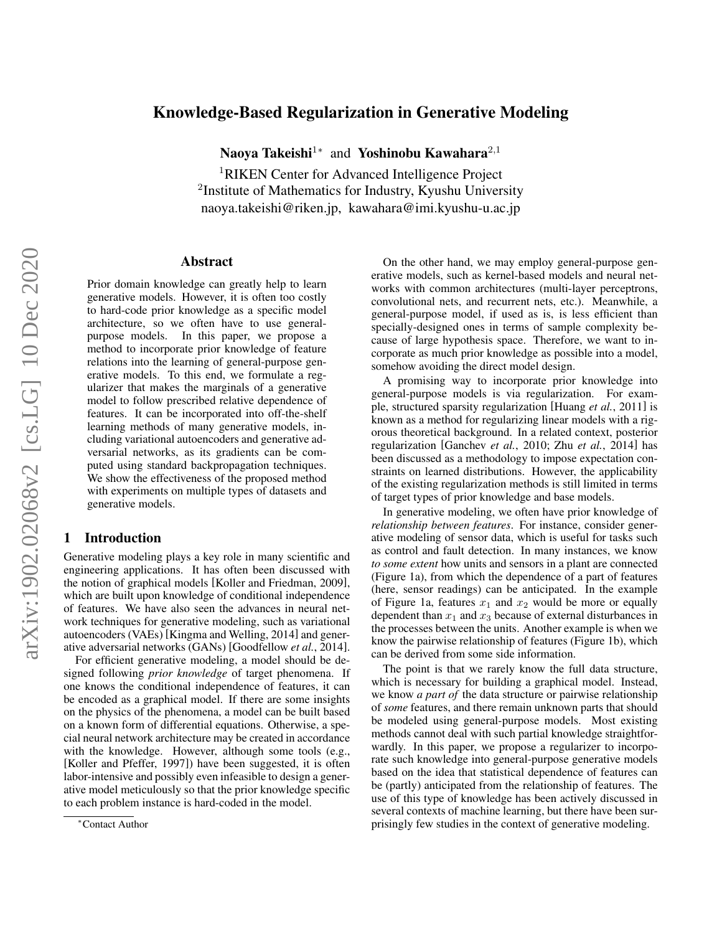# Knowledge-Based Regularization in Generative Modeling

Naoya Takeishi<sup>1</sup>\* and Yoshinobu Kawahara<sup>2,1</sup>

<sup>1</sup>RIKEN Center for Advanced Intelligence Project <sup>2</sup>Institute of Mathematics for Industry, Kyushu University naoya.takeishi@riken.jp, kawahara@imi.kyushu-u.ac.jp

## Abstract

Prior domain knowledge can greatly help to learn generative models. However, it is often too costly to hard-code prior knowledge as a specific model architecture, so we often have to use generalpurpose models. In this paper, we propose a method to incorporate prior knowledge of feature relations into the learning of general-purpose generative models. To this end, we formulate a regularizer that makes the marginals of a generative model to follow prescribed relative dependence of features. It can be incorporated into off-the-shelf learning methods of many generative models, including variational autoencoders and generative adversarial networks, as its gradients can be computed using standard backpropagation techniques. We show the effectiveness of the proposed method with experiments on multiple types of datasets and generative models.

# 1 Introduction

Generative modeling plays a key role in many scientific and engineering applications. It has often been discussed with the notion of graphical models [\[Koller and Friedman, 2009\]](#page-6-0), which are built upon knowledge of conditional independence of features. We have also seen the advances in neural network techniques for generative modeling, such as variational autoencoders (VAEs) [\[Kingma and Welling, 2014\]](#page-6-1) and generative adversarial networks (GANs) [\[Goodfellow](#page-6-2) *et al.*, 2014].

For efficient generative modeling, a model should be designed following *prior knowledge* of target phenomena. If one knows the conditional independence of features, it can be encoded as a graphical model. If there are some insights on the physics of the phenomena, a model can be built based on a known form of differential equations. Otherwise, a special neural network architecture may be created in accordance with the knowledge. However, although some tools (e.g., [\[Koller and Pfeffer, 1997\]](#page-6-3)) have been suggested, it is often labor-intensive and possibly even infeasible to design a generative model meticulously so that the prior knowledge specific to each problem instance is hard-coded in the model.

On the other hand, we may employ general-purpose generative models, such as kernel-based models and neural networks with common architectures (multi-layer perceptrons, convolutional nets, and recurrent nets, etc.). Meanwhile, a general-purpose model, if used as is, is less efficient than specially-designed ones in terms of sample complexity because of large hypothesis space. Therefore, we want to incorporate as much prior knowledge as possible into a model, somehow avoiding the direct model design.

A promising way to incorporate prior knowledge into general-purpose models is via regularization. For example, structured sparsity regularization [\[Huang](#page-6-4) *et al.*, 2011] is known as a method for regularizing linear models with a rigorous theoretical background. In a related context, posterior regularization [\[Ganchev](#page-6-5) *et al.*, 2010; Zhu *et al.*[, 2014\]](#page-6-6) has been discussed as a methodology to impose expectation constraints on learned distributions. However, the applicability of the existing regularization methods is still limited in terms of target types of prior knowledge and base models.

In generative modeling, we often have prior knowledge of *relationship between features*. For instance, consider generative modeling of sensor data, which is useful for tasks such as control and fault detection. In many instances, we know *to some extent* how units and sensors in a plant are connected (Figure [1a\)](#page-1-0), from which the dependence of a part of features (here, sensor readings) can be anticipated. In the example of Figure [1a,](#page-1-0) features  $x_1$  and  $x_2$  would be more or equally dependent than  $x_1$  and  $x_3$  because of external disturbances in the processes between the units. Another example is when we know the pairwise relationship of features (Figure [1b\)](#page-1-1), which can be derived from some side information.

The point is that we rarely know the full data structure, which is necessary for building a graphical model. Instead, we know *a part of* the data structure or pairwise relationship of *some* features, and there remain unknown parts that should be modeled using general-purpose models. Most existing methods cannot deal with such partial knowledge straightforwardly. In this paper, we propose a regularizer to incorporate such knowledge into general-purpose generative models based on the idea that statistical dependence of features can be (partly) anticipated from the relationship of features. The use of this type of knowledge has been actively discussed in several contexts of machine learning, but there have been surprisingly few studies in the context of generative modeling.

<sup>∗</sup>Contact Author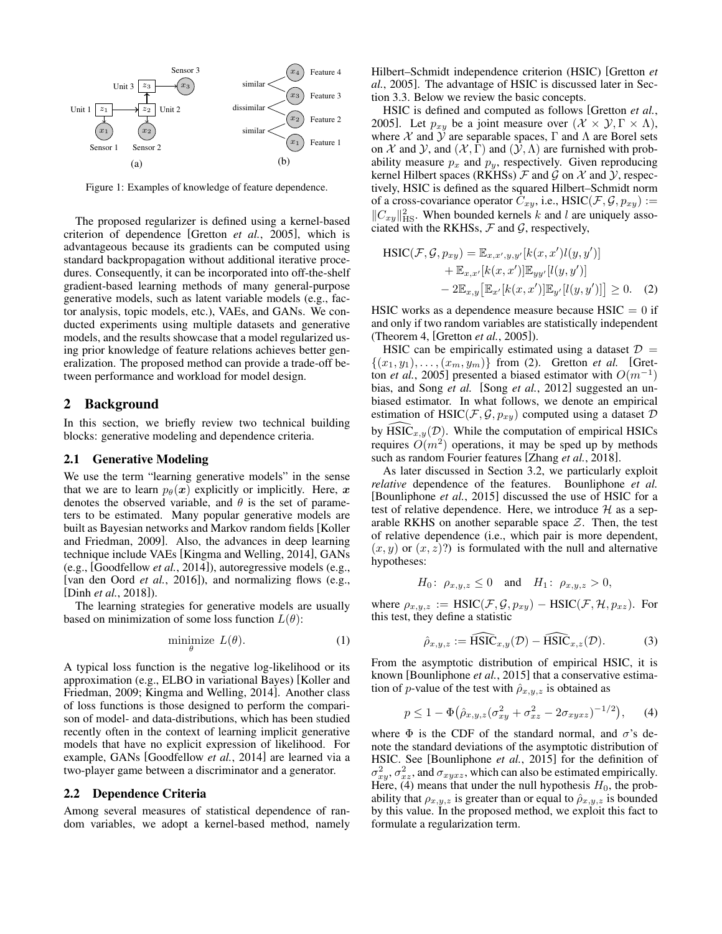<span id="page-1-0"></span>

Figure 1: Examples of knowledge of feature dependence.

The proposed regularizer is defined using a kernel-based criterion of dependence [\[Gretton](#page-6-7) *et al.*, 2005], which is advantageous because its gradients can be computed using standard backpropagation without additional iterative procedures. Consequently, it can be incorporated into off-the-shelf gradient-based learning methods of many general-purpose generative models, such as latent variable models (e.g., factor analysis, topic models, etc.), VAEs, and GANs. We conducted experiments using multiple datasets and generative models, and the results showcase that a model regularized using prior knowledge of feature relations achieves better generalization. The proposed method can provide a trade-off between performance and workload for model design.

### 2 Background

In this section, we briefly review two technical building blocks: generative modeling and dependence criteria.

## 2.1 Generative Modeling

We use the term "learning generative models" in the sense that we are to learn  $p_{\theta}(\boldsymbol{x})$  explicitly or implicitly. Here, x denotes the observed variable, and  $\theta$  is the set of parameters to be estimated. Many popular generative models are built as Bayesian networks and Markov random fields [\[Koller](#page-6-0) [and Friedman, 2009\]](#page-6-0). Also, the advances in deep learning technique include VAEs [\[Kingma and Welling, 2014\]](#page-6-1), GANs (e.g., [\[Goodfellow](#page-6-2) *et al.*, 2014]), autoregressive models (e.g., [\[van den Oord](#page-6-8) *et al.*, 2016]), and normalizing flows (e.g., [Dinh *et al.*[, 2018\]](#page-6-9)).

The learning strategies for generative models are usually based on minimization of some loss function  $L(\theta)$ :

$$
\underset{\theta}{\text{minimize}} \ L(\theta). \tag{1}
$$

A typical loss function is the negative log-likelihood or its approximation (e.g., ELBO in variational Bayes) [\[Koller and](#page-6-0) [Friedman, 2009;](#page-6-0) [Kingma and Welling, 2014\]](#page-6-1). Another class of loss functions is those designed to perform the comparison of model- and data-distributions, which has been studied recently often in the context of learning implicit generative models that have no explicit expression of likelihood. For example, GANs [\[Goodfellow](#page-6-2) *et al.*, 2014] are learned via a two-player game between a discriminator and a generator.

### 2.2 Dependence Criteria

Among several measures of statistical dependence of random variables, we adopt a kernel-based method, namely <span id="page-1-1"></span>Hilbert–Schmidt independence criterion (HSIC) [\[Gretton](#page-6-7) *et al.*[, 2005\]](#page-6-7). The advantage of HSIC is discussed later in Section [3.3.](#page-2-0) Below we review the basic concepts.

HSIC is defined and computed as follows [\[Gretton](#page-6-7) *et al.*, [2005\]](#page-6-7). Let  $p_{xy}$  be a joint measure over  $(\mathcal{X} \times \mathcal{Y}, \Gamma \times \Lambda)$ , where  $X$  and  $\hat{Y}$  are separable spaces,  $\Gamma$  and  $\Lambda$  are Borel sets on X and  $\mathcal Y$ , and  $(\mathcal X, \Gamma)$  and  $(\mathcal Y, \Lambda)$  are furnished with probability measure  $p_x$  and  $p_y$ , respectively. Given reproducing kernel Hilbert spaces (RKHSs)  $\mathcal F$  and  $\mathcal G$  on  $\mathcal X$  and  $\mathcal Y$ , respectively, HSIC is defined as the squared Hilbert–Schmidt norm of a cross-covariance operator  $C_{xy}$ , i.e., HSIC( $\mathcal{F}, \mathcal{G}, p_{xy}$ ) :=  $||C_{xy}||_{\text{HS}}^2$ . When bounded kernels k and l are uniquely associated with the RKHSs,  $F$  and  $G$ , respectively,

<span id="page-1-2"></span>
$$
\begin{aligned} \text{HSIC}(\mathcal{F}, \mathcal{G}, p_{xy}) &= \mathbb{E}_{x, x', y, y'}[k(x, x')l(y, y')] \\ &+ \mathbb{E}_{x, x'}[k(x, x')] \mathbb{E}_{yy'}[l(y, y')] \\ &- 2\mathbb{E}_{x, y} \left[ \mathbb{E}_{x'}[k(x, x')] \mathbb{E}_{y'}[l(y, y')] \right] \ge 0. \end{aligned} \tag{2}
$$

HSIC works as a dependence measure because  $H<sub>S</sub>$  HSIC = 0 if and only if two random variables are statistically independent (Theorem 4, [\[Gretton](#page-6-7) *et al.*, 2005]).

HSIC can be empirically estimated using a dataset  $D =$  $\{(x_1, y_1), \ldots, (x_m, y_m)\}\)$  from [\(2\)](#page-1-2). Gretton *et al.* [\[Gret](#page-6-7)ton *et al.*[, 2005\]](#page-6-7) presented a biased estimator with  $O(m^{-1})$ bias, and Song *et al.* [Song *et al.*[, 2012\]](#page-6-10) suggested an unbiased estimator. In what follows, we denote an empirical estimation of HSIC( $\mathcal{F}, \mathcal{G}, p_{xy}$ ) computed using a dataset  $\mathcal{D}$ by  $\widehat{\text{HSIC}}_{x,y}(\mathcal{D})$ . While the computation of empirical HSICs requires  $O(m^2)$  operations, it may be sped up by methods such as random Fourier features [\[Zhang](#page-6-11) *et al.*, 2018].

As later discussed in Section [3.2,](#page-2-1) we particularly exploit *relative* dependence of the features. Bounliphone *et al.* [\[Bounliphone](#page-5-0) *et al.*, 2015] discussed the use of HSIC for a test of relative dependence. Here, we introduce  $H$  as a separable RKHS on another separable space  $\mathcal{Z}$ . Then, the test of relative dependence (i.e., which pair is more dependent,  $(x, y)$  or  $(x, z)$ ?) is formulated with the null and alternative hypotheses:

$$
H_0
$$
:  $\rho_{x,y,z} \le 0$  and  $H_1$ :  $\rho_{x,y,z} > 0$ ,

<span id="page-1-4"></span>where  $\rho_{x,y,z} := \text{HSIC}(\mathcal{F}, \mathcal{G}, p_{xy}) - \text{HSIC}(\mathcal{F}, \mathcal{H}, p_{xz})$ . For this test, they define a statistic

<span id="page-1-3"></span>
$$
\hat{\rho}_{x,y,z} := \widehat{\text{HSIC}}_{x,y}(\mathcal{D}) - \widehat{\text{HSIC}}_{x,z}(\mathcal{D}).\tag{3}
$$

From the asymptotic distribution of empirical HSIC, it is known [\[Bounliphone](#page-5-0) *et al.*, 2015] that a conservative estimation of *p*-value of the test with  $\hat{\rho}_{x,y,z}$  is obtained as

$$
p \le 1 - \Phi(\hat{\rho}_{x,y,z}(\sigma_{xy}^2 + \sigma_{xz}^2 - 2\sigma_{xyxz})^{-1/2}), \qquad (4)
$$

where  $\Phi$  is the CDF of the standard normal, and  $\sigma$ 's denote the standard deviations of the asymptotic distribution of HSIC. See [\[Bounliphone](#page-5-0) *et al.*, 2015] for the definition of  $\sigma_{xy}^2$ ,  $\sigma_{xz}^2$ , and  $\sigma_{xyxz}$ , which can also be estimated empirically. Here, [\(4\)](#page-1-3) means that under the null hypothesis  $H_0$ , the probability that  $\rho_{x,y,z}$  is greater than or equal to  $\hat{\rho}_{x,y,z}$  is bounded by this value. In the proposed method, we exploit this fact to formulate a regularization term.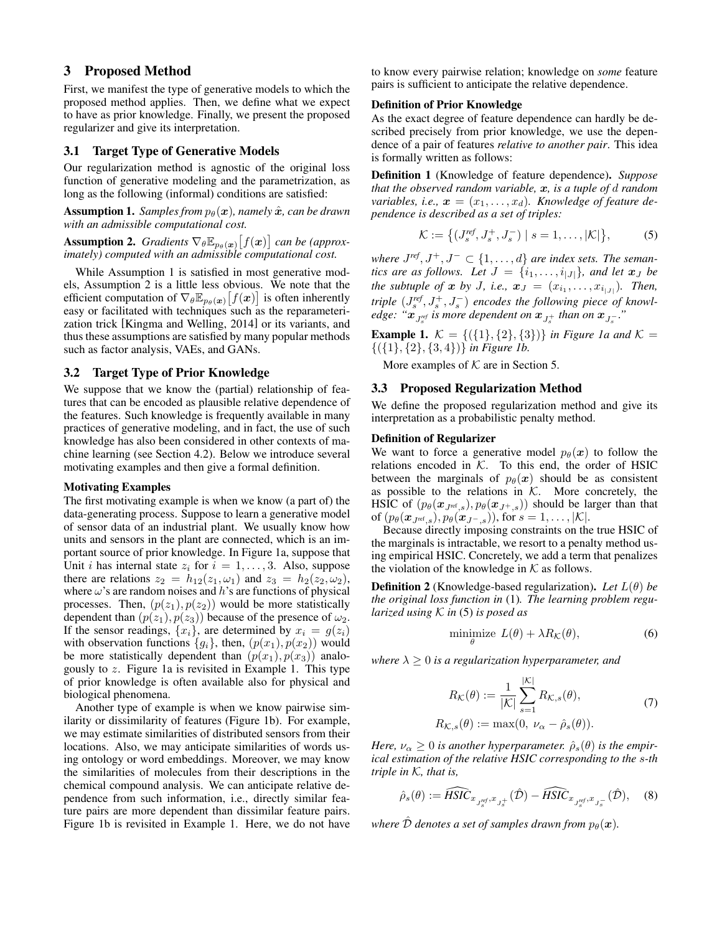# 3 Proposed Method

First, we manifest the type of generative models to which the proposed method applies. Then, we define what we expect to have as prior knowledge. Finally, we present the proposed regularizer and give its interpretation.

### <span id="page-2-8"></span>3.1 Target Type of Generative Models

Our regularization method is agnostic of the original loss function of generative modeling and the parametrization, as long as the following (informal) conditions are satisfied:

<span id="page-2-2"></span>**Assumption 1.** *Samples from*  $p_{\theta}(\boldsymbol{x})$ *, namely*  $\hat{\boldsymbol{x}}$ *, can be drawn with an admissible computational cost.*

<span id="page-2-3"></span>**Assumption 2.** *Gradients*  $\nabla_{\theta} \mathbb{E}_{p_{\theta}(\boldsymbol{x})}[f(\boldsymbol{x})]$  *can be (approximately) computed with an admissible computational cost.*

While Assumption [1](#page-2-2) is satisfied in most generative models, Assumption [2](#page-2-3) is a little less obvious. We note that the efficient computation of  $\nabla_{\theta} \mathbb{E}_{p_{\theta}(\boldsymbol{x})}[f(\boldsymbol{x})]$  is often inherently easy or facilitated with techniques such as the reparameterization trick [\[Kingma and Welling, 2014\]](#page-6-1) or its variants, and thus these assumptions are satisfied by many popular methods such as factor analysis, VAEs, and GANs.

## <span id="page-2-1"></span>3.2 Target Type of Prior Knowledge

We suppose that we know the (partial) relationship of features that can be encoded as plausible relative dependence of the features. Such knowledge is frequently available in many practices of generative modeling, and in fact, the use of such knowledge has also been considered in other contexts of machine learning (see Section [4.2\)](#page-4-0). Below we introduce several motivating examples and then give a formal definition.

#### Motivating Examples

The first motivating example is when we know (a part of) the data-generating process. Suppose to learn a generative model of sensor data of an industrial plant. We usually know how units and sensors in the plant are connected, which is an important source of prior knowledge. In Figure [1a,](#page-1-0) suppose that Unit *i* has internal state  $z_i$  for  $i = 1, \ldots, 3$ . Also, suppose there are relations  $z_2 = h_{12}(z_1, \omega_1)$  and  $z_3 = h_2(z_2, \omega_2)$ , where  $\omega$ 's are random noises and h's are functions of physical processes. Then,  $(p(z_1), p(z_2))$  would be more statistically dependent than  $(p(z_1), p(z_3))$  because of the presence of  $\omega_2$ . If the sensor readings,  $\{x_i\}$ , are determined by  $x_i = g(z_i)$ with observation functions  ${g_i}$ , then,  $(p(x_1), p(x_2))$  would be more statistically dependent than  $(p(x_1), p(x_3))$  analogously to z. Figure [1a](#page-1-0) is revisited in Example [1.](#page-2-4) This type of prior knowledge is often available also for physical and biological phenomena.

Another type of example is when we know pairwise similarity or dissimilarity of features (Figure [1b\)](#page-1-1). For example, we may estimate similarities of distributed sensors from their locations. Also, we may anticipate similarities of words using ontology or word embeddings. Moreover, we may know the similarities of molecules from their descriptions in the chemical compound analysis. We can anticipate relative dependence from such information, i.e., directly similar feature pairs are more dependent than dissimilar feature pairs. Figure [1b](#page-1-1) is revisited in Example [1.](#page-2-4) Here, we do not have to know every pairwise relation; knowledge on *some* feature pairs is sufficient to anticipate the relative dependence.

### Definition of Prior Knowledge

As the exact degree of feature dependence can hardly be described precisely from prior knowledge, we use the dependence of a pair of features *relative to another pair*. This idea is formally written as follows:

Definition 1 (Knowledge of feature dependence). *Suppose that the observed random variable,* x*, is a tuple of* d *random variables, i.e.,*  $\mathbf{x} = (x_1, \ldots, x_d)$ *. Knowledge of feature dependence is described as a set of triples:*

<span id="page-2-5"></span>
$$
\mathcal{K} := \left\{ (J_s^{ref}, J_s^+, J_s^-) \mid s = 1, \dots, |\mathcal{K}| \right\},\tag{5}
$$

*where*  $J^{ref}, J^+, J^- \subset \{1, \ldots, d\}$  *are index sets. The semantics are as follows. Let*  $J = \{i_1, \ldots, i_{|J|}\}\$ *, and let*  $x_J$  *be the subtuple of*  $x$  *by J, i.e.,*  $x_J = (x_{i_1}, \ldots, x_{i_{|J|}})$ *. Then, triple*  $(J_s^{ref}, J_s^+, J_s^-)$  *encodes the following piece of knowledge:* " $x_{J_s^{ref}}$  is more dependent on  $x_{J_s^+}$  than on  $x_{J_s^-}$ ."

<span id="page-2-4"></span>**Example 1.**  $K = \{ (\{1\}, \{2\}, \{3\}) \}$  *in Figure [1a](#page-1-0) and*  $K =$ {({1}, {2}, {3, 4})} *in Figure [1b.](#page-1-1)*

More examples of  $K$  are in Section [5.](#page-4-1)

### <span id="page-2-0"></span>3.3 Proposed Regularization Method

We define the proposed regularization method and give its interpretation as a probabilistic penalty method.

### Definition of Regularizer

We want to force a generative model  $p_{\theta}(\boldsymbol{x})$  to follow the relations encoded in  $K$ . To this end, the order of HSIC between the marginals of  $p_{\theta}(x)$  should be as consistent as possible to the relations in  $K$ . More concretely, the HSIC of  $(p_{\theta}(\mathbf{x}_{J^{\text{ref}},s}), p_{\theta}(\mathbf{x}_{J^+,s}))$  should be larger than that of  $(p_{\theta}(\boldsymbol{x}_{J^{\text{ref}},s}), p_{\theta}(\boldsymbol{x}_{J^-,s}))$ , for  $s = 1, ..., |\mathcal{K}|$ .

Because directly imposing constraints on the true HSIC of the marginals is intractable, we resort to a penalty method using empirical HSIC. Concretely, we add a term that penalizes the violation of the knowledge in  $K$  as follows.

Definition 2 (Knowledge-based regularization). *Let* L(θ) *be the original loss function in* [\(1\)](#page-1-4)*. The learning problem regularized using* K *in* [\(5\)](#page-2-5) *is posed as*

<span id="page-2-7"></span><span id="page-2-6"></span>
$$
\underset{\theta}{\text{minimize}} \ L(\theta) + \lambda R_{\mathcal{K}}(\theta), \tag{6}
$$

*where*  $\lambda \geq 0$  *is a regularization hyperparameter, and* 

$$
R_{\mathcal{K}}(\theta) := \frac{1}{|\mathcal{K}|} \sum_{s=1}^{|\mathcal{K}|} R_{\mathcal{K},s}(\theta),
$$
  
\n
$$
R_{\mathcal{K},s}(\theta) := \max(0, \nu_{\alpha} - \hat{\rho}_s(\theta)).
$$
\n(7)

*Here,*  $\nu_{\alpha} \geq 0$  *is another hyperparameter.*  $\hat{\rho}_s(\theta)$  *is the empirical estimation of the relative HSIC corresponding to the* s*-th triple in* K*, that is,*

$$
\hat{\rho}_s(\theta) := \widehat{HSIC}_{x_{J_s^{ref}}, x_{J_s^+}}(\hat{\mathcal{D}}) - \widehat{HSIC}_{x_{J_s^{ref}}, x_{J_s^-}}(\hat{\mathcal{D}}), \quad (8)
$$

*where*  $\hat{D}$  *denotes a set of samples drawn from*  $p_{\theta}(\boldsymbol{x})$ *.*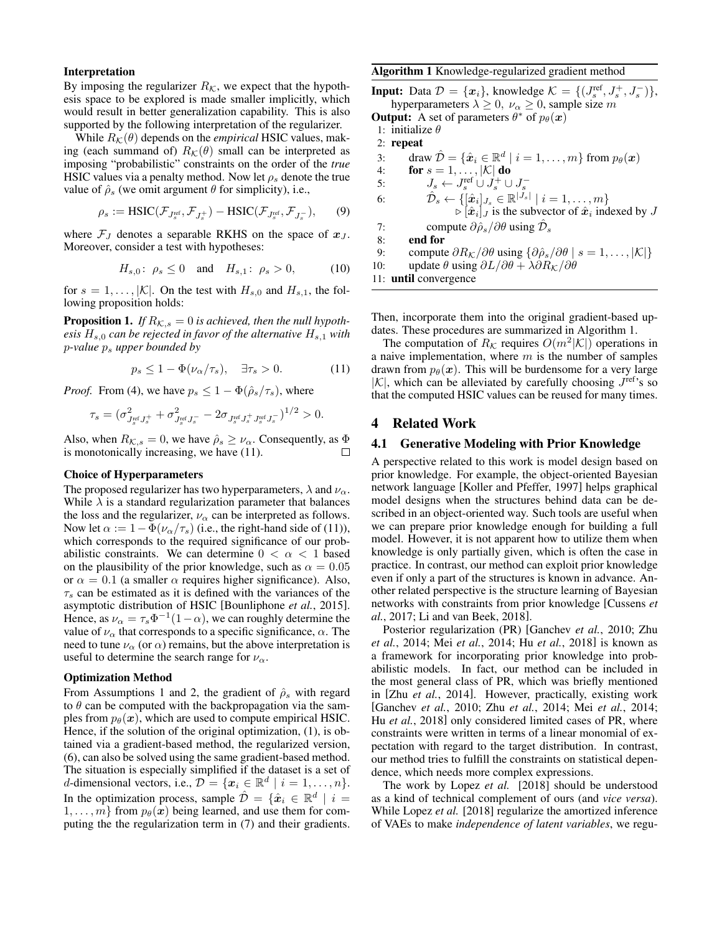#### Interpretation

By imposing the regularizer  $R_K$ , we expect that the hypothesis space to be explored is made smaller implicitly, which would result in better generalization capability. This is also supported by the following interpretation of the regularizer.

While  $R_K(\theta)$  depends on the *empirical* HSIC values, making (each summand of)  $R_{\mathcal{K}}(\theta)$  small can be interpreted as imposing "probabilistic" constraints on the order of the *true* HSIC values via a penalty method. Now let  $\rho_s$  denote the true value of  $\hat{\rho}_s$  (we omit argument  $\theta$  for simplicity), i.e.,

$$
\rho_s := \text{HSIC}(\mathcal{F}_{J_s^{\text{ref}}}, \mathcal{F}_{J_s^+}) - \text{HSIC}(\mathcal{F}_{J_s^{\text{ref}}}, \mathcal{F}_{J_s^-}), \qquad (9)
$$

where  $\mathcal{F}_J$  denotes a separable RKHS on the space of  $x_J$ . Moreover, consider a test with hypotheses:

$$
H_{s,0}
$$
:  $\rho_s \le 0$  and  $H_{s,1}$ :  $\rho_s > 0$ , (10)

for  $s = 1, \ldots, |\mathcal{K}|$ . On the test with  $H_{s,0}$  and  $H_{s,1}$ , the following proposition holds:

**Proposition 1.** *If*  $R_{K,s} = 0$  *is achieved, then the null hypothesis*  $H_{s,0}$  *can be rejected in favor of the alternative*  $H_{s,1}$  *with* p*-value* p<sup>s</sup> *upper bounded by*

<span id="page-3-0"></span>
$$
p_s \le 1 - \Phi(\nu_\alpha/\tau_s), \quad \exists \tau_s > 0. \tag{11}
$$

*Proof.* From [\(4\)](#page-1-3), we have  $p_s \leq 1 - \Phi(\hat{\rho}_s/\tau_s)$ , where

$$
\tau_s = (\sigma_{J_s^{\text{ref}}J_s^+}^2 + \sigma_{J_s^{\text{ref}}J_s^-}^2 - 2\sigma_{J_s^{\text{ref}}J_s^+J_s^{\text{ref}}J_s^-})^{1/2} > 0.
$$

Also, when  $R_{K,s} = 0$ , we have  $\hat{\rho}_s \ge \nu_\alpha$ . Consequently, as  $\Phi$ is monotonically increasing, we have [\(11\)](#page-3-0).  $\Box$ 

### Choice of Hyperparameters

The proposed regularizer has two hyperparameters,  $\lambda$  and  $\nu_{\alpha}$ . While  $\lambda$  is a standard regularization parameter that balances the loss and the regularizer,  $\nu_{\alpha}$  can be interpreted as follows. Now let  $\alpha := 1 - \Phi(\nu_{\alpha}/\tau_s)$  (i.e., the right-hand side of [\(11\)](#page-3-0)), which corresponds to the required significance of our probabilistic constraints. We can determine  $0 < \alpha < 1$  based on the plausibility of the prior knowledge, such as  $\alpha = 0.05$ or  $\alpha = 0.1$  (a smaller  $\alpha$  requires higher significance). Also,  $\tau_s$  can be estimated as it is defined with the variances of the asymptotic distribution of HSIC [\[Bounliphone](#page-5-0) *et al.*, 2015]. Hence, as  $\nu_{\alpha} = \tau_s \Phi^{-1}(1-\alpha)$ , we can roughly determine the value of  $\nu_{\alpha}$  that corresponds to a specific significance,  $\alpha$ . The need to tune  $\nu_{\alpha}$  (or  $\alpha$ ) remains, but the above interpretation is useful to determine the search range for  $\nu_{\alpha}$ .

### Optimization Method

From Assumptions [1](#page-2-2) and [2,](#page-2-3) the gradient of  $\hat{\rho}_s$  with regard to  $\theta$  can be computed with the backpropagation via the samples from  $p_{\theta}(\boldsymbol{x})$ , which are used to compute empirical HSIC. Hence, if the solution of the original optimization, [\(1\)](#page-1-4), is obtained via a gradient-based method, the regularized version, [\(6\)](#page-2-6), can also be solved using the same gradient-based method. The situation is especially simplified if the dataset is a set of *d*-dimensional vectors, i.e.,  $\mathcal{D} = \{x_i \in \mathbb{R}^d \mid i = 1, ..., n\}.$ In the optimization process, sample  $\hat{\mathcal{D}} = \{\hat{x}_i \in \mathbb{R}^d \mid i =$  $1, \ldots, m$  from  $p_{\theta}(x)$  being learned, and use them for computing the the regularization term in [\(7\)](#page-2-7) and their gradients.

## <span id="page-3-1"></span>Algorithm 1 Knowledge-regularized gradient method

**Input:** Data  $\mathcal{D} = \{x_i\}$ , knowledge  $\mathcal{K} = \{(J_s^{\text{ref}}, J_s^+, J_s^-)\},$ hyperparameters  $\lambda \geq 0$ ,  $\nu_{\alpha} \geq 0$ , sample size m

**Output:** A set of parameters  $\theta^*$  of  $p_\theta(\mathbf{x})$ 

- 1: initialize  $\theta$
- 2: repeat

3: draw  $\hat{\mathcal{D}} = \{\hat{\boldsymbol{x}}_i \in \mathbb{R}^d \mid i = 1, \dots, m\}$  from  $p_{\theta}(\boldsymbol{x})$ 4: for  $s = 1, \ldots, |\mathcal{K}|$  do 5:  $J_s \leftarrow J_s^{\text{ref}} \cup J_s^+ \cup J_s^-$ 6:  $\hat{\mathcal{D}}_s \leftarrow \{[\hat{\boldsymbol{x}}_i]_{J_s} \in \mathbb{R}^{|J_s|} \mid i = 1, \dots, m\}$  $\triangleright [\hat{x}_i]_J$  is the subvector of  $\hat{x}_i$  indexed by J 7: compute  $\partial \hat{\rho}_s / \partial \theta$  using  $\hat{\mathcal{D}}_s$ 8: end for 9: compute  $\partial R_{\mathcal{K}}/\partial \theta$  using  $\{\partial \hat{\rho}_s/\partial \theta \mid s = 1, \dots, |\mathcal{K}|\}$ 10: update  $\theta$  using  $\partial L/\partial \theta + \lambda \partial R_K/\partial \theta$ 

11: until convergence

Then, incorporate them into the original gradient-based updates. These procedures are summarized in Algorithm [1.](#page-3-1)

The computation of  $R_K$  requires  $O(m^2|\mathcal{K}|)$  operations in a naive implementation, where  $m$  is the number of samples drawn from  $p_{\theta}(\mathbf{x})$ . This will be burdensome for a very large  $|K|$ , which can be alleviated by carefully choosing  $J^{\text{ref}}$ 's so that the computed HSIC values can be reused for many times.

## 4 Related Work

### 4.1 Generative Modeling with Prior Knowledge

A perspective related to this work is model design based on prior knowledge. For example, the object-oriented Bayesian network language [\[Koller and Pfeffer, 1997\]](#page-6-3) helps graphical model designs when the structures behind data can be described in an object-oriented way. Such tools are useful when we can prepare prior knowledge enough for building a full model. However, it is not apparent how to utilize them when knowledge is only partially given, which is often the case in practice. In contrast, our method can exploit prior knowledge even if only a part of the structures is known in advance. Another related perspective is the structure learning of Bayesian networks with constraints from prior knowledge [\[Cussens](#page-6-12) *et al.*[, 2017;](#page-6-12) [Li and van Beek, 2018\]](#page-6-13).

Posterior regularization (PR) [\[Ganchev](#page-6-5) *et al.*, 2010; [Zhu](#page-6-6) *et al.*[, 2014;](#page-6-6) Mei *et al.*[, 2014;](#page-6-14) Hu *et al.*[, 2018\]](#page-6-15) is known as a framework for incorporating prior knowledge into probabilistic models. In fact, our method can be included in the most general class of PR, which was briefly mentioned in [Zhu *et al.*[, 2014\]](#page-6-6). However, practically, existing work [\[Ganchev](#page-6-5) *et al.*, 2010; Zhu *et al.*[, 2014;](#page-6-6) Mei *et al.*[, 2014;](#page-6-14) Hu *et al.*[, 2018\]](#page-6-15) only considered limited cases of PR, where constraints were written in terms of a linear monomial of expectation with regard to the target distribution. In contrast, our method tries to fulfill the constraints on statistical dependence, which needs more complex expressions.

The work by Lopez *et al.* [\[2018\]](#page-6-16) should be understood as a kind of technical complement of ours (and *vice versa*). While Lopez *et al.* [\[2018\]](#page-6-16) regularize the amortized inference of VAEs to make *independence of latent variables*, we regu-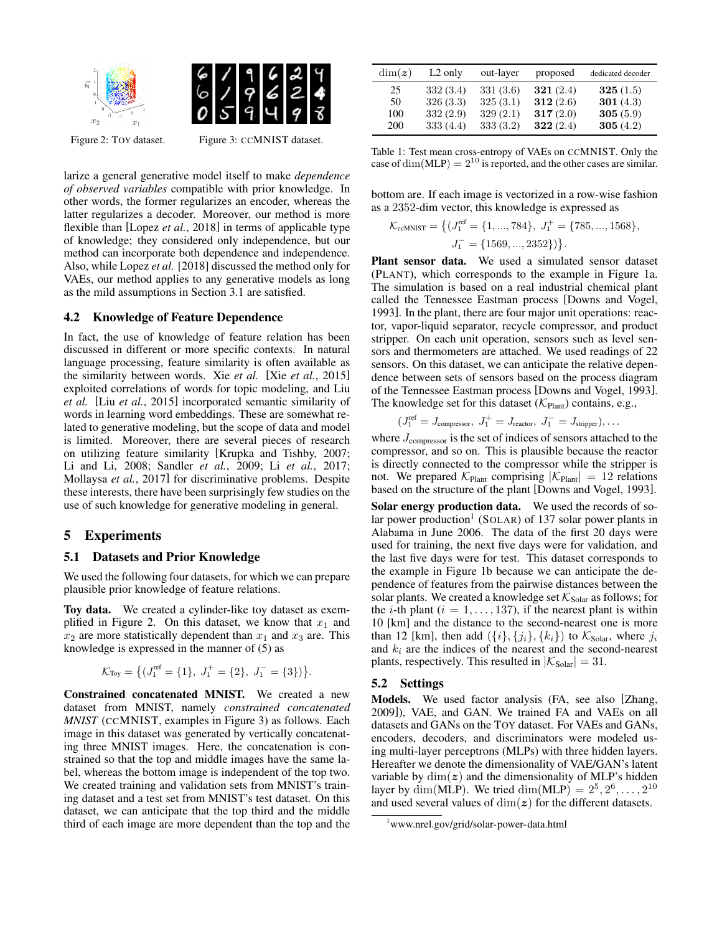

<span id="page-4-2"></span>

Figure 2: TOY dataset. Figure 3: CCMNIST dataset.

larize a general generative model itself to make *dependence of observed variables* compatible with prior knowledge. In other words, the former regularizes an encoder, whereas the latter regularizes a decoder. Moreover, our method is more flexible than [Lopez *et al.*[, 2018\]](#page-6-16) in terms of applicable type of knowledge; they considered only independence, but our method can incorporate both dependence and independence. Also, while Lopez *et al.* [\[2018\]](#page-6-16) discussed the method only for VAEs, our method applies to any generative models as long as the mild assumptions in Section [3.1](#page-2-8) are satisfied.

# <span id="page-4-0"></span>4.2 Knowledge of Feature Dependence

In fact, the use of knowledge of feature relation has been discussed in different or more specific contexts. In natural language processing, feature similarity is often available as the similarity between words. Xie *et al.* [Xie *et al.*[, 2015\]](#page-6-17) exploited correlations of words for topic modeling, and Liu *et al.* [Liu *et al.*[, 2015\]](#page-6-18) incorporated semantic similarity of words in learning word embeddings. These are somewhat related to generative modeling, but the scope of data and model is limited. Moreover, there are several pieces of research on utilizing feature similarity [\[Krupka and Tishby, 2007;](#page-6-19) [Li and Li, 2008;](#page-6-20) [Sandler](#page-6-21) *et al.*, 2009; Li *et al.*[, 2017;](#page-6-22) [Mollaysa](#page-6-23) *et al.*, 2017] for discriminative problems. Despite these interests, there have been surprisingly few studies on the use of such knowledge for generative modeling in general.

# <span id="page-4-1"></span>5 Experiments

### 5.1 Datasets and Prior Knowledge

We used the following four datasets, for which we can prepare plausible prior knowledge of feature relations.

Toy data. We created a cylinder-like toy dataset as exem-plified in Figure [2.](#page-4-2) On this dataset, we know that  $x_1$  and  $x_2$  are more statistically dependent than  $x_1$  and  $x_3$  are. This knowledge is expressed in the manner of [\(5\)](#page-2-5) as

$$
\mathcal{K}_{\text{Toy}} = \left\{ (J_1^{\text{ref}} = \{1\}, J_1^+ = \{2\}, J_1^- = \{3\}) \right\}.
$$

Constrained concatenated MNIST. We created a new dataset from MNIST, namely *constrained concatenated MNIST* (CCMNIST, examples in Figure [3\)](#page-4-2) as follows. Each image in this dataset was generated by vertically concatenating three MNIST images. Here, the concatenation is constrained so that the top and middle images have the same label, whereas the bottom image is independent of the top two. We created training and validation sets from MNIST's training dataset and a test set from MNIST's test dataset. On this dataset, we can anticipate that the top third and the middle third of each image are more dependent than the top and the

<span id="page-4-4"></span>

| $\dim(z)$ | $L2$ only | out-layer | proposed | dedicated decoder |
|-----------|-----------|-----------|----------|-------------------|
| 25        | 332(3.4)  | 331 (3.6) | 321(2.4) | 325(1.5)          |
| 50        | 326(3.3)  | 325(3.1)  | 312(2.6) | 301 $(4.3)$       |
| 100       | 332(2.9)  | 329(2.1)  | 317(2.0) | 305(5.9)          |
| 200       | 333(4.4)  | 333(3.2)  | 322(2.4) | 305(4.2)          |

Table 1: Test mean cross-entropy of VAEs on CCMNIST. Only the case of dim(MLP) =  $2^{10}$  is reported, and the other cases are similar.

bottom are. If each image is vectorized in a row-wise fashion as a 2352-dim vector, this knowledge is expressed as

$$
\mathcal{K}_{\text{ccMNIST}} = \left\{ (J_1^{\text{ref}} = \{1, ..., 784\}, J_1^+ = \{785, ..., 1568\}, \right.\n\quad\nJ_1^- = \{1569, ..., 2352\} )\}.
$$

Plant sensor data. We used a simulated sensor dataset (PLANT), which corresponds to the example in Figure [1a.](#page-1-0) The simulation is based on a real industrial chemical plant called the Tennessee Eastman process [\[Downs and Vogel,](#page-6-24) [1993\]](#page-6-24). In the plant, there are four major unit operations: reactor, vapor-liquid separator, recycle compressor, and product stripper. On each unit operation, sensors such as level sensors and thermometers are attached. We used readings of 22 sensors. On this dataset, we can anticipate the relative dependence between sets of sensors based on the process diagram of the Tennessee Eastman process [\[Downs and Vogel, 1993\]](#page-6-24). The knowledge set for this dataset ( $\mathcal{K}_{\text{Plant}}$ ) contains, e.g.,

$$
(J_1^{\text{ref}} = J_{\text{compression}}, J_1^+ = J_{\text{reactor}}, J_1^- = J_{\text{stripper}}), \dots
$$

where  $J_{\text{compression}}$  is the set of indices of sensors attached to the compressor, and so on. This is plausible because the reactor is directly connected to the compressor while the stripper is not. We prepared  $K_{\text{Plant}}$  comprising  $|K_{\text{Plant}}| = 12$  relations based on the structure of the plant [\[Downs and Vogel, 1993\]](#page-6-24).

Solar energy production data. We used the records of so-lar power production<sup>[1](#page-4-3)</sup> (SOLAR) of 137 solar power plants in Alabama in June 2006. The data of the first 20 days were used for training, the next five days were for validation, and the last five days were for test. This dataset corresponds to the example in Figure [1b](#page-1-1) because we can anticipate the dependence of features from the pairwise distances between the solar plants. We created a knowledge set  $K_{\text{Solar}}$  as follows; for the *i*-th plant ( $i = 1, \ldots, 137$ ), if the nearest plant is within 10 [km] and the distance to the second-nearest one is more than 12 [km], then add  $({i}, {j_i}, {k_i})$  to  $K_{\text{Solar}}$ , where  $j_i$ and  $k_i$  are the indices of the nearest and the second-nearest plants, respectively. This resulted in  $|K_{\text{Solar}}| = 31$ .

### 5.2 Settings

Models. We used factor analysis (FA, see also [\[Zhang,](#page-6-25) [2009\]](#page-6-25)), VAE, and GAN. We trained FA and VAEs on all datasets and GANs on the TOY dataset. For VAEs and GANs, encoders, decoders, and discriminators were modeled using multi-layer perceptrons (MLPs) with three hidden layers. Hereafter we denote the dimensionality of VAE/GAN's latent variable by  $\dim(z)$  and the dimensionality of MLP's hidden layer by  $\dim(\text{MLP})$ . We tried  $\dim(\text{MLP}) = 2^5, 2^6, \dots, 2^{10}$ and used several values of  $\dim(z)$  for the different datasets.

<span id="page-4-3"></span><sup>1</sup><www.nrel.gov/grid/solar-power-data.html>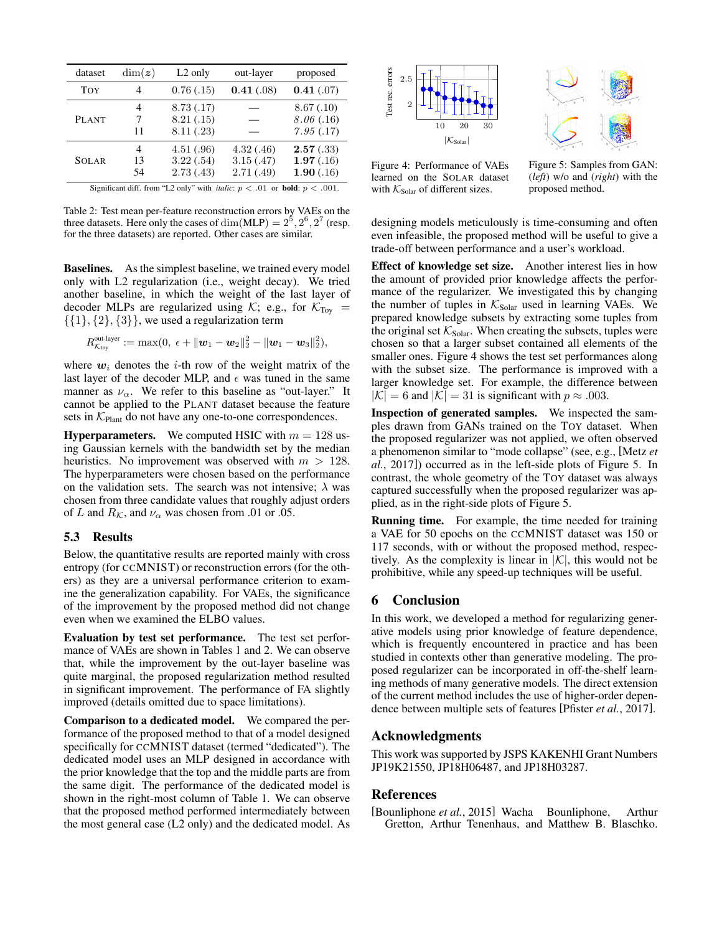<span id="page-5-1"></span>

| dataset                                                                                       | $\dim(z)$ | $L2$ only  | out-layer  | proposed   |  |  |
|-----------------------------------------------------------------------------------------------|-----------|------------|------------|------------|--|--|
| <b>TOY</b>                                                                                    | 4         | 0.76(0.15) | 0.41(.08)  | 0.41(.07)  |  |  |
|                                                                                               | 4         | 8.73(0.17) |            | 8.67(0.10) |  |  |
| <b>PLANT</b>                                                                                  | 7         | 8.21(.15)  |            | 8.06(.16)  |  |  |
|                                                                                               | 11        | 8.11(.23)  |            | 7.95(.17)  |  |  |
|                                                                                               | 4         | 4.51(.96)  | 4.32(0.46) | 2.57(.33)  |  |  |
| <b>SOLAR</b>                                                                                  | 13        | 3.22(.54)  | 3.15(0.47) | 1.97(.16)  |  |  |
|                                                                                               | 54        | 2.73(0.43) | 2.71(0.49) | 1.90(.16)  |  |  |
| Significant diff. from "L2 only" with <i>italic</i> : $p < .01$ or <b>bold</b> : $p < .001$ . |           |            |            |            |  |  |

Table 2: Test mean per-feature reconstruction errors by VAEs on the three datasets. Here only the cases of dim(MLP) =  $2^5$ ,  $2^6$ ,  $2^7$  (resp. for the three datasets) are reported. Other cases are similar.

Baselines. As the simplest baseline, we trained every model only with L2 regularization (i.e., weight decay). We tried another baseline, in which the weight of the last layer of decoder MLPs are regularized using  $K$ ; e.g., for  $K_{Toy}$  =  $\{\{1\},\{2\},\{3\}\}\$ , we used a regularization term

$$
R_{\mathcal{K}_{\text{toy}}}^{\text{out-layer}}:=\max(0,\;\epsilon+\|\boldsymbol{w}_1-\boldsymbol{w}_2\|_2^2-\|\boldsymbol{w}_1-\boldsymbol{w}_3\|_2^2),
$$

where  $w_i$  denotes the *i*-th row of the weight matrix of the last layer of the decoder MLP, and  $\epsilon$  was tuned in the same manner as  $\nu_{\alpha}$ . We refer to this baseline as "out-layer." It cannot be applied to the PLANT dataset because the feature sets in  $K_{\text{Plant}}$  do not have any one-to-one correspondences.

**Hyperparameters.** We computed HSIC with  $m = 128$  using Gaussian kernels with the bandwidth set by the median heuristics. No improvement was observed with  $m > 128$ . The hyperparameters were chosen based on the performance on the validation sets. The search was not intensive;  $\lambda$  was chosen from three candidate values that roughly adjust orders of L and  $R_K$ , and  $\nu_\alpha$  was chosen from .01 or .05.

# 5.3 Results

Below, the quantitative results are reported mainly with cross entropy (for CCMNIST) or reconstruction errors (for the others) as they are a universal performance criterion to examine the generalization capability. For VAEs, the significance of the improvement by the proposed method did not change even when we examined the ELBO values.

Evaluation by test set performance. The test set performance of VAEs are shown in Tables [1](#page-4-4) and [2.](#page-5-1) We can observe that, while the improvement by the out-layer baseline was quite marginal, the proposed regularization method resulted in significant improvement. The performance of FA slightly improved (details omitted due to space limitations).

Comparison to a dedicated model. We compared the performance of the proposed method to that of a model designed specifically for CCMNIST dataset (termed "dedicated"). The dedicated model uses an MLP designed in accordance with the prior knowledge that the top and the middle parts are from the same digit. The performance of the dedicated model is shown in the right-most column of Table [1.](#page-4-4) We can observe that the proposed method performed intermediately between the most general case (L2 only) and the dedicated model. As



<span id="page-5-2"></span>

Figure 4: Performance of VAEs learned on the SOLAR dataset with  $K_{\text{Solar}}$  of different sizes.

Figure 5: Samples from GAN: (*left*) w/o and (*right*) with the proposed method.

designing models meticulously is time-consuming and often even infeasible, the proposed method will be useful to give a trade-off between performance and a user's workload.

Effect of knowledge set size. Another interest lies in how the amount of provided prior knowledge affects the performance of the regularizer. We investigated this by changing the number of tuples in  $K_{\text{Solar}}$  used in learning VAEs. We prepared knowledge subsets by extracting some tuples from the original set  $K_{\text{Solar}}$ . When creating the subsets, tuples were chosen so that a larger subset contained all elements of the smaller ones. Figure [4](#page-5-2) shows the test set performances along with the subset size. The performance is improved with a larger knowledge set. For example, the difference between  $|K| = 6$  and  $|K| = 31$  is significant with  $p \approx .003$ .

Inspection of generated samples. We inspected the samples drawn from GANs trained on the TOY dataset. When the proposed regularizer was not applied, we often observed a phenomenon similar to "mode collapse" (see, e.g., [\[Metz](#page-6-26) *et al.*[, 2017\]](#page-6-26)) occurred as in the left-side plots of Figure [5.](#page-5-2) In contrast, the whole geometry of the TOY dataset was always captured successfully when the proposed regularizer was applied, as in the right-side plots of Figure [5.](#page-5-2)

Running time. For example, the time needed for training a VAE for 50 epochs on the CCMNIST dataset was 150 or 117 seconds, with or without the proposed method, respectively. As the complexity is linear in  $|\mathcal{K}|$ , this would not be prohibitive, while any speed-up techniques will be useful.

# 6 Conclusion

In this work, we developed a method for regularizing generative models using prior knowledge of feature dependence, which is frequently encountered in practice and has been studied in contexts other than generative modeling. The proposed regularizer can be incorporated in off-the-shelf learning methods of many generative models. The direct extension of the current method includes the use of higher-order dependence between multiple sets of features [\[Pfister](#page-6-27) *et al.*, 2017].

# Acknowledgments

This work was supported by JSPS KAKENHI Grant Numbers JP19K21550, JP18H06487, and JP18H03287.

# References

<span id="page-5-0"></span>[Bounliphone *et al.*, 2015] Wacha Bounliphone, Arthur Gretton, Arthur Tenenhaus, and Matthew B. Blaschko.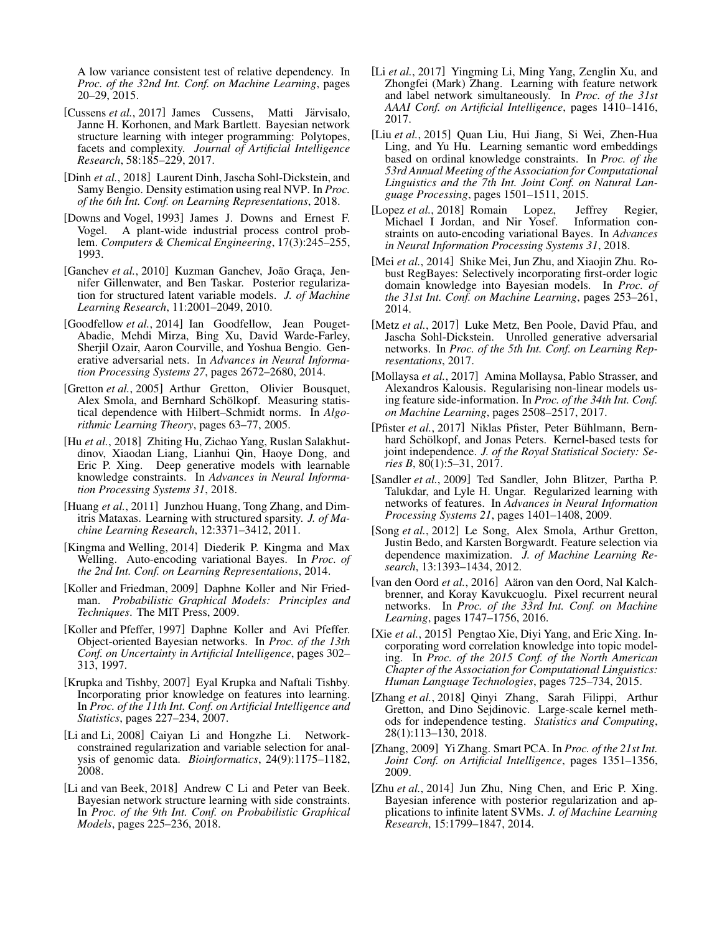A low variance consistent test of relative dependency. In *Proc. of the 32nd Int. Conf. on Machine Learning*, pages 20–29, 2015.

- <span id="page-6-12"></span>[Cussens *et al.*, 2017] James Cussens, Matti Järvisalo, Janne H. Korhonen, and Mark Bartlett. Bayesian network structure learning with integer programming: Polytopes, facets and complexity. *Journal of Artificial Intelligence Research*, 58:185–229, 2017.
- <span id="page-6-9"></span>[Dinh *et al.*, 2018] Laurent Dinh, Jascha Sohl-Dickstein, and Samy Bengio. Density estimation using real NVP. In *Proc. of the 6th Int. Conf. on Learning Representations*, 2018.
- <span id="page-6-24"></span>[Downs and Vogel, 1993] James J. Downs and Ernest F. Vogel. A plant-wide industrial process control problem. *Computers & Chemical Engineering*, 17(3):245–255, 1993.
- <span id="page-6-5"></span>[Ganchev et al., 2010] Kuzman Ganchev, João Graça, Jennifer Gillenwater, and Ben Taskar. Posterior regularization for structured latent variable models. *J. of Machine Learning Research*, 11:2001–2049, 2010.
- <span id="page-6-2"></span>[Goodfellow *et al.*, 2014] Ian Goodfellow, Jean Pouget-Abadie, Mehdi Mirza, Bing Xu, David Warde-Farley, Sherjil Ozair, Aaron Courville, and Yoshua Bengio. Generative adversarial nets. In *Advances in Neural Information Processing Systems 27*, pages 2672–2680, 2014.
- <span id="page-6-7"></span>[Gretton *et al.*, 2005] Arthur Gretton, Olivier Bousquet, Alex Smola, and Bernhard Schölkopf. Measuring statistical dependence with Hilbert–Schmidt norms. In *Algorithmic Learning Theory*, pages 63–77, 2005.
- <span id="page-6-15"></span>[Hu *et al.*, 2018] Zhiting Hu, Zichao Yang, Ruslan Salakhutdinov, Xiaodan Liang, Lianhui Qin, Haoye Dong, and Eric P. Xing. Deep generative models with learnable knowledge constraints. In *Advances in Neural Information Processing Systems 31*, 2018.
- <span id="page-6-4"></span>[Huang *et al.*, 2011] Junzhou Huang, Tong Zhang, and Dimitris Mataxas. Learning with structured sparsity. *J. of Machine Learning Research*, 12:3371–3412, 2011.
- <span id="page-6-1"></span>[Kingma and Welling, 2014] Diederik P. Kingma and Max Welling. Auto-encoding variational Bayes. In *Proc. of the 2nd Int. Conf. on Learning Representations*, 2014.
- <span id="page-6-0"></span>[Koller and Friedman, 2009] Daphne Koller and Nir Friedman. *Probabilistic Graphical Models: Principles and Techniques*. The MIT Press, 2009.
- <span id="page-6-3"></span>[Koller and Pfeffer, 1997] Daphne Koller and Avi Pfeffer. Object-oriented Bayesian networks. In *Proc. of the 13th Conf. on Uncertainty in Artificial Intelligence*, pages 302– 313, 1997.
- <span id="page-6-19"></span>[Krupka and Tishby, 2007] Eyal Krupka and Naftali Tishby. Incorporating prior knowledge on features into learning. In *Proc. of the 11th Int. Conf. on Artificial Intelligence and Statistics*, pages 227–234, 2007.
- <span id="page-6-20"></span>[Li and Li, 2008] Caiyan Li and Hongzhe Li. Networkconstrained regularization and variable selection for analysis of genomic data. *Bioinformatics*, 24(9):1175–1182, 2008.
- <span id="page-6-13"></span>[Li and van Beek, 2018] Andrew C Li and Peter van Beek. Bayesian network structure learning with side constraints. In *Proc. of the 9th Int. Conf. on Probabilistic Graphical Models*, pages 225–236, 2018.
- <span id="page-6-22"></span>[Li *et al.*, 2017] Yingming Li, Ming Yang, Zenglin Xu, and Zhongfei (Mark) Zhang. Learning with feature network and label network simultaneously. In *Proc. of the 31st AAAI Conf. on Artificial Intelligence*, pages 1410–1416, 2017.
- <span id="page-6-18"></span>[Liu *et al.*, 2015] Quan Liu, Hui Jiang, Si Wei, Zhen-Hua Ling, and Yu Hu. Learning semantic word embeddings based on ordinal knowledge constraints. In *Proc. of the 53rd Annual Meeting of the Association for Computational Linguistics and the 7th Int. Joint Conf. on Natural Language Processing*, pages 1501–1511, 2015.
- <span id="page-6-16"></span>[Lopez *et al.*, 2018] Romain Lopez, Jeffrey Regier, Michael I Jordan, and Nir Yosef. Information constraints on auto-encoding variational Bayes. In *Advances in Neural Information Processing Systems 31*, 2018.
- <span id="page-6-14"></span>[Mei *et al.*, 2014] Shike Mei, Jun Zhu, and Xiaojin Zhu. Robust RegBayes: Selectively incorporating first-order logic domain knowledge into Bayesian models. In *Proc. of the 31st Int. Conf. on Machine Learning*, pages 253–261, 2014.
- <span id="page-6-26"></span>[Metz et al., 2017] Luke Metz, Ben Poole, David Pfau, and Jascha Sohl-Dickstein. Unrolled generative adversarial networks. In *Proc. of the 5th Int. Conf. on Learning Representations*, 2017.
- <span id="page-6-23"></span>[Mollaysa *et al.*, 2017] Amina Mollaysa, Pablo Strasser, and Alexandros Kalousis. Regularising non-linear models using feature side-information. In *Proc. of the 34th Int. Conf. on Machine Learning*, pages 2508–2517, 2017.
- <span id="page-6-27"></span>[Pfister et al., 2017] Niklas Pfister, Peter Bühlmann, Bernhard Schölkopf, and Jonas Peters. Kernel-based tests for joint independence. *J. of the Royal Statistical Society: Series B*, 80(1):5–31, 2017.
- <span id="page-6-21"></span>[Sandler *et al.*, 2009] Ted Sandler, John Blitzer, Partha P. Talukdar, and Lyle H. Ungar. Regularized learning with networks of features. In *Advances in Neural Information Processing Systems 21*, pages 1401–1408, 2009.
- <span id="page-6-10"></span>[Song *et al.*, 2012] Le Song, Alex Smola, Arthur Gretton, Justin Bedo, and Karsten Borgwardt. Feature selection via dependence maximization. *J. of Machine Learning Research*, 13:1393–1434, 2012.
- <span id="page-6-8"></span>[van den Oord et al., 2016] Aäron van den Oord, Nal Kalchbrenner, and Koray Kavukcuoglu. Pixel recurrent neural networks. In *Proc. of the 33rd Int. Conf. on Machine Learning*, pages 1747–1756, 2016.
- <span id="page-6-17"></span>[Xie *et al.*, 2015] Pengtao Xie, Diyi Yang, and Eric Xing. Incorporating word correlation knowledge into topic modeling. In *Proc. of the 2015 Conf. of the North American Chapter of the Association for Computational Linguistics: Human Language Technologies*, pages 725–734, 2015.
- <span id="page-6-11"></span>[Zhang *et al.*, 2018] Qinyi Zhang, Sarah Filippi, Arthur Gretton, and Dino Sejdinovic. Large-scale kernel methods for independence testing. *Statistics and Computing*, 28(1):113–130, 2018.
- <span id="page-6-25"></span>[Zhang, 2009] Yi Zhang. Smart PCA. In *Proc. of the 21st Int. Joint Conf. on Artificial Intelligence*, pages 1351–1356, 2009.
- <span id="page-6-6"></span>[Zhu *et al.*, 2014] Jun Zhu, Ning Chen, and Eric P. Xing. Bayesian inference with posterior regularization and applications to infinite latent SVMs. *J. of Machine Learning Research*, 15:1799–1847, 2014.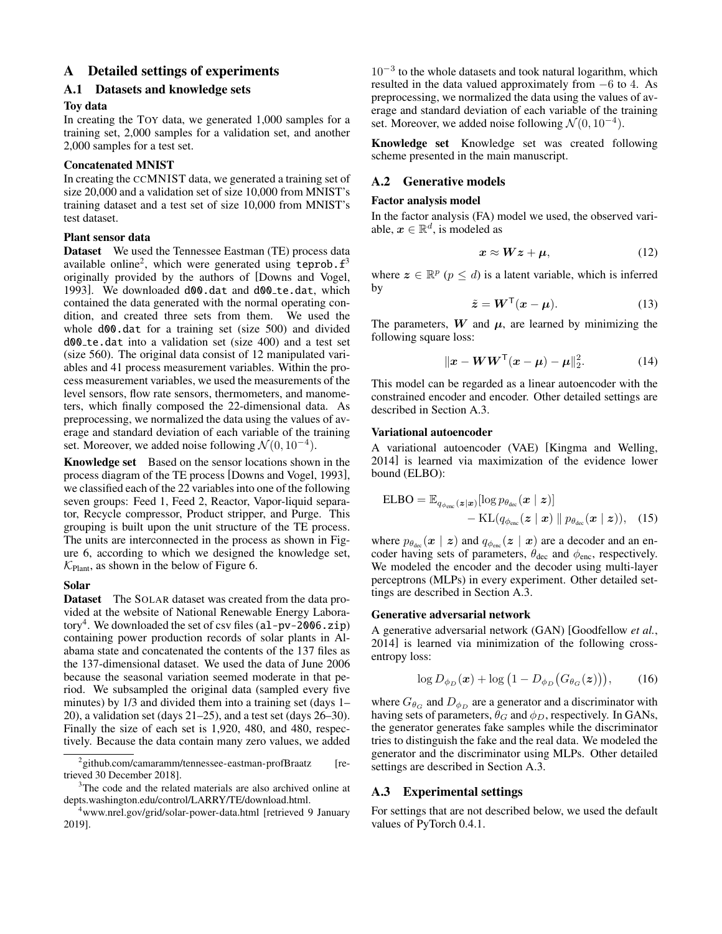# A Detailed settings of experiments

# A.1 Datasets and knowledge sets

## Toy data

In creating the TOY data, we generated 1,000 samples for a training set, 2,000 samples for a validation set, and another 2,000 samples for a test set.

### Concatenated MNIST

In creating the CCMNIST data, we generated a training set of size 20,000 and a validation set of size 10,000 from MNIST's training dataset and a test set of size 10,000 from MNIST's test dataset.

### Plant sensor data

Dataset We used the Tennessee Eastman (TE) process data available online<sup>[2](#page-7-0)</sup>, which were generated using teprob.  $f^3$  $f^3$ originally provided by the authors of [\[Downs and Vogel,](#page-6-24) [1993\]](#page-6-24). We downloaded d00.dat and d00\_te.dat, which contained the data generated with the normal operating condition, and created three sets from them. We used the whole d00.dat for a training set (size 500) and divided d00 te.dat into a validation set (size 400) and a test set (size 560). The original data consist of 12 manipulated variables and 41 process measurement variables. Within the process measurement variables, we used the measurements of the level sensors, flow rate sensors, thermometers, and manometers, which finally composed the 22-dimensional data. As preprocessing, we normalized the data using the values of average and standard deviation of each variable of the training set. Moreover, we added noise following  $\mathcal{N}(0, 10^{-4})$ .

Knowledge set Based on the sensor locations shown in the process diagram of the TE process [\[Downs and Vogel, 1993\]](#page-6-24), we classified each of the 22 variables into one of the following seven groups: Feed 1, Feed 2, Reactor, Vapor-liquid separator, Recycle compressor, Product stripper, and Purge. This grouping is built upon the unit structure of the TE process. The units are interconnected in the process as shown in Figure [6,](#page-8-0) according to which we designed the knowledge set,  $\mathcal{K}_{\text{Plant}}$ , as shown in the below of Figure [6.](#page-8-0)

## Solar

Dataset The SOLAR dataset was created from the data provided at the website of National Renewable Energy Labora-tory<sup>[4](#page-7-2)</sup>. We downloaded the set of csv files (al-pv-2006.zip) containing power production records of solar plants in Alabama state and concatenated the contents of the 137 files as the 137-dimensional dataset. We used the data of June 2006 because the seasonal variation seemed moderate in that period. We subsampled the original data (sampled every five minutes) by 1/3 and divided them into a training set (days 1– 20), a validation set (days 21–25), and a test set (days 26–30). Finally the size of each set is 1,920, 480, and 480, respectively. Because the data contain many zero values, we added

 $10^{-3}$  to the whole datasets and took natural logarithm, which resulted in the data valued approximately from −6 to 4. As preprocessing, we normalized the data using the values of average and standard deviation of each variable of the training set. Moreover, we added noise following  $\mathcal{N}(0, 10^{-4})$ .

Knowledge set Knowledge set was created following scheme presented in the main manuscript.

# A.2 Generative models

### Factor analysis model

In the factor analysis (FA) model we used, the observed variable,  $x \in \mathbb{R}^d$ , is modeled as

$$
x \approx Wz + \mu, \tag{12}
$$

where  $z \in \mathbb{R}^p$  ( $p \leq d$ ) is a latent variable, which is inferred by

$$
\tilde{z} = W^{\mathsf{T}}(x - \mu). \tag{13}
$$

The parameters,  $W$  and  $\mu$ , are learned by minimizing the following square loss:

$$
\|\bm{x} - \bm{W}\bm{W}^{\mathsf{T}}(\bm{x} - \bm{\mu}) - \bm{\mu}\|_{2}^{2}.
$$
 (14)

This model can be regarded as a linear autoencoder with the constrained encoder and encoder. Other detailed settings are described in Section [A.3.](#page-7-3)

#### Variational autoencoder

A variational autoencoder (VAE) [\[Kingma and Welling,](#page-6-1) [2014\]](#page-6-1) is learned via maximization of the evidence lower bound (ELBO):

$$
\text{ELBO} = \mathbb{E}_{q_{\phi_{\text{enc}}}}(\mathbf{z}|\mathbf{x})}[\log p_{\theta_{\text{dec}}}(\mathbf{x} \mid \mathbf{z})] - \text{KL}(q_{\phi_{\text{enc}}}(\mathbf{z} \mid \mathbf{x}) \parallel p_{\theta_{\text{dec}}}(\mathbf{x} \mid \mathbf{z})), \quad (15)
$$

where  $p_{\theta_{\text{dec}}}(\boldsymbol{x} \mid \boldsymbol{z})$  and  $q_{\phi_{\text{enc}}}(\boldsymbol{z} \mid \boldsymbol{x})$  are a decoder and an encoder having sets of parameters,  $\theta_{\text{dec}}$  and  $\phi_{\text{enc}}$ , respectively. We modeled the encoder and the decoder using multi-layer perceptrons (MLPs) in every experiment. Other detailed settings are described in Section [A.3.](#page-7-3)

## Generative adversarial network

A generative adversarial network (GAN) [\[Goodfellow](#page-6-2) *et al.*, [2014\]](#page-6-2) is learned via minimization of the following crossentropy loss:

$$
\log D_{\phi_D}(\boldsymbol{x}) + \log \left(1 - D_{\phi_D}(G_{\theta_G}(\boldsymbol{z}))\right), \qquad (16)
$$

where  $G_{\theta_{\rm G}}$  and  $D_{\phi_{\rm D}}$  are a generator and a discriminator with having sets of parameters,  $\theta_G$  and  $\phi_D$ , respectively. In GANs, the generator generates fake samples while the discriminator tries to distinguish the fake and the real data. We modeled the generator and the discriminator using MLPs. Other detailed settings are described in Section [A.3.](#page-7-3)

## <span id="page-7-3"></span>A.3 Experimental settings

For settings that are not described below, we used the default values of PyTorch 0.4.1.

<span id="page-7-0"></span><sup>&</sup>lt;sup>2</sup> <github.com/camaramm/tennessee-eastman-profBraatz> [retrieved 30 December 2018].

<span id="page-7-1"></span><sup>&</sup>lt;sup>3</sup>The code and the related materials are also archived online at [depts.washington.edu/control/LARRY/TE/download.html.](depts.washington.edu/control/LARRY/TE/download.html)

<span id="page-7-2"></span><sup>4</sup><www.nrel.gov/grid/solar-power-data.html> [retrieved 9 January 2019].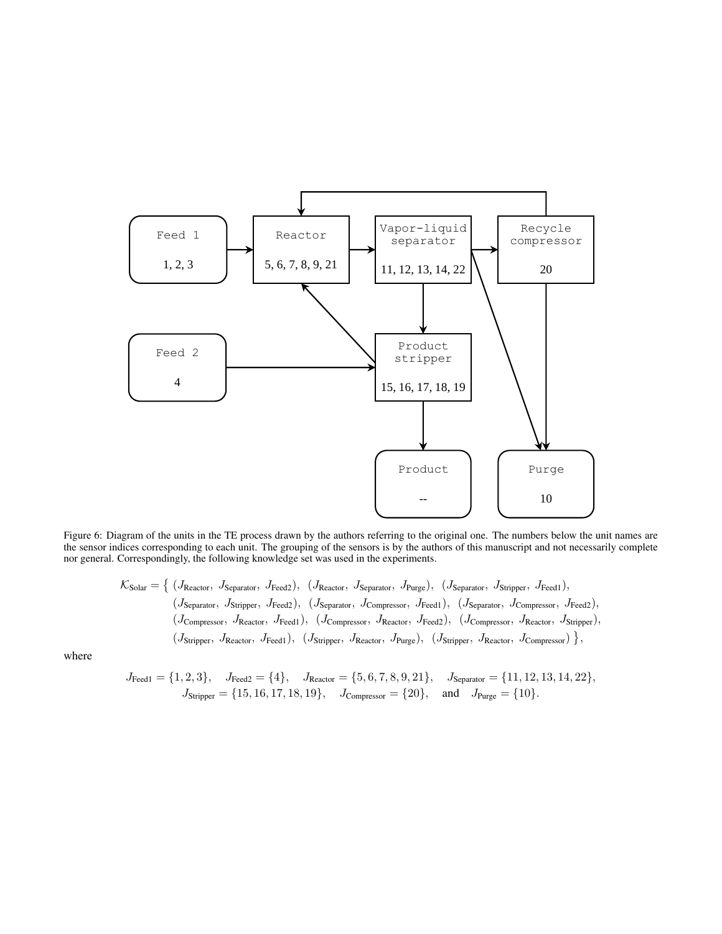<span id="page-8-0"></span>

Figure 6: Diagram of the units in the TE process drawn by the authors referring to the original one. The numbers below the unit names are the sensor indices corresponding to each unit. The grouping of the sensors is by the authors of this manuscript and not necessarily complete nor general. Correspondingly, the following knowledge set was used in the experiments.

$$
\mathcal{K}_{\text{Solar}} = \left\{ (J_{\text{Reactor}}, J_{\text{Separator}}, J_{\text{Feed2}}), (J_{\text{Reactor}}, J_{\text{Separator}}, J_{\text{Purge}}), (J_{\text{Separator}}, J_{\text{Stripper}}, J_{\text{Feed1}}), (J_{\text{Separator}}, J_{\text{Stripper}}, J_{\text{Feed2}}), (J_{\text{Separator}}, J_{\text{Compressor}}, J_{\text{Feed2}}), (J_{\text{Compressor}}, J_{\text{Feed2}}), (J_{\text{Compressor}}, J_{\text{Reed2}}, J_{\text{Reactor}}, J_{\text{Feed2}}), (J_{\text{Compressor}}, J_{\text{Reactor}}, J_{\text{Stripper}}), (J_{\text{Stripper}}, J_{\text{Reactor}}, J_{\text{Feed1}}), (J_{\text{Stripper}}, J_{\text{Reactor}}, J_{\text{Feed2}}), (J_{\text{Stripper}}, J_{\text{Reactor}}, J_{\text{Conpressor}}) \right\},
$$

where

$$
J_{\text{Feed1}} = \{1, 2, 3\}, \quad J_{\text{Feed2}} = \{4\}, \quad J_{\text{Reactor}} = \{5, 6, 7, 8, 9, 21\}, \quad J_{\text{Separator}} = \{11, 12, 13, 14, 22\}, \quad J_{\text{Stipper}} = \{15, 16, 17, 18, 19\}, \quad J_{\text{Compressor}} = \{20\}, \quad \text{and} \quad J_{\text{Purge}} = \{10\}.
$$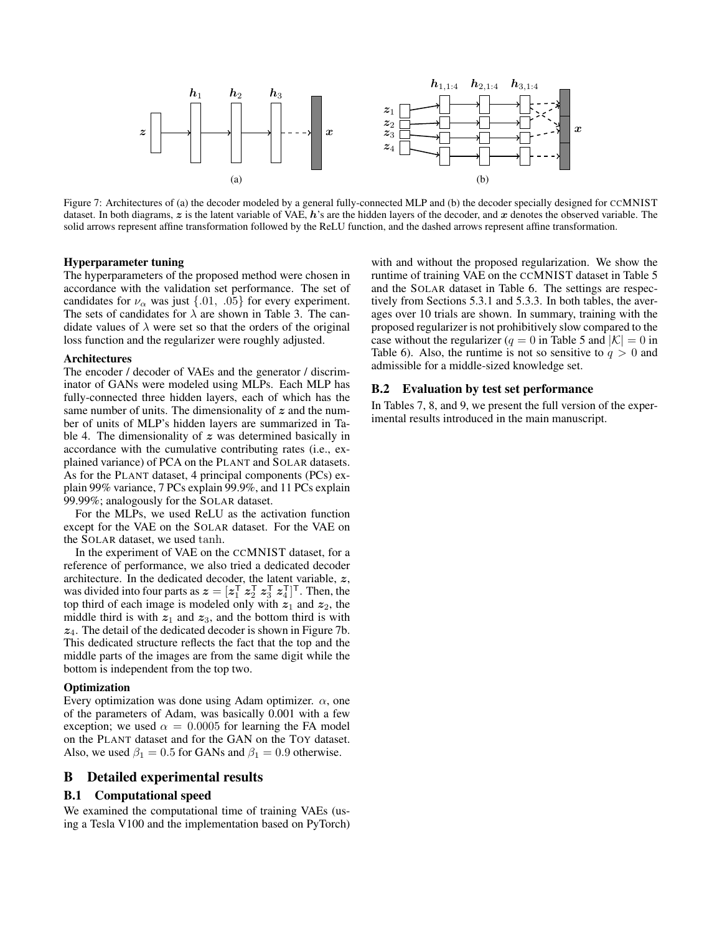

Figure 7: Architectures of (a) the decoder modeled by a general fully-connected MLP and (b) the decoder specially designed for CCMNIST dataset. In both diagrams,  $z$  is the latent variable of VAE, h's are the hidden layers of the decoder, and x denotes the observed variable. The solid arrows represent affine transformation followed by the ReLU function, and the dashed arrows represent affine transformation.

#### Hyperparameter tuning

The hyperparameters of the proposed method were chosen in accordance with the validation set performance. The set of candidates for  $\nu_{\alpha}$  was just {.01, .05} for every experiment. The sets of candidates for  $\lambda$  are shown in Table [3.](#page-10-0) The candidate values of  $\lambda$  were set so that the orders of the original loss function and the regularizer were roughly adjusted.

### Architectures

The encoder / decoder of VAEs and the generator / discriminator of GANs were modeled using MLPs. Each MLP has fully-connected three hidden layers, each of which has the same number of units. The dimensionality of  $z$  and the number of units of MLP's hidden layers are summarized in Ta-ble [4.](#page-10-0) The dimensionality of  $z$  was determined basically in accordance with the cumulative contributing rates (i.e., explained variance) of PCA on the PLANT and SOLAR datasets. As for the PLANT dataset, 4 principal components (PCs) explain 99% variance, 7 PCs explain 99.9%, and 11 PCs explain 99.99%; analogously for the SOLAR dataset.

For the MLPs, we used ReLU as the activation function except for the VAE on the SOLAR dataset. For the VAE on the SOLAR dataset, we used tanh.

In the experiment of VAE on the CCMNIST dataset, for a reference of performance, we also tried a dedicated decoder architecture. In the dedicated decoder, the latent variable,  $z$ , was divided into four parts as  $\boldsymbol{z} = [z_1^\mathsf{T} \ z_2^\mathsf{T} \ z_3^\mathsf{T} \ z_4^\mathsf{T}]^\mathsf{T}$ . Then, the top third of each image is modeled only with  $z_1$  and  $z_2$ , the middle third is with  $z_1$  and  $z_3$ , and the bottom third is with  $z<sub>4</sub>$ . The detail of the dedicated decoder is shown in Figure [7b.](#page-9-0) This dedicated structure reflects the fact that the top and the middle parts of the images are from the same digit while the bottom is independent from the top two.

## **Optimization**

Every optimization was done using Adam optimizer.  $\alpha$ , one of the parameters of Adam, was basically 0.001 with a few exception; we used  $\alpha = 0.0005$  for learning the FA model on the PLANT dataset and for the GAN on the TOY dataset. Also, we used  $\beta_1 = 0.5$  for GANs and  $\beta_1 = 0.9$  otherwise.

# B Detailed experimental results

# B.1 Computational speed

We examined the computational time of training VAEs (using a Tesla V100 and the implementation based on PyTorch) <span id="page-9-0"></span>with and without the proposed regularization. We show the runtime of training VAE on the CCMNIST dataset in Table [5](#page-10-0) and the SOLAR dataset in Table [6.](#page-10-0) The settings are respectively from Sections 5.3.1 and 5.3.3. In both tables, the averages over 10 trials are shown. In summary, training with the proposed regularizer is not prohibitively slow compared to the case without the regularizer ( $q = 0$  in Table [5](#page-10-0) and  $|K| = 0$  in Table [6\)](#page-10-0). Also, the runtime is not so sensitive to  $q > 0$  and admissible for a middle-sized knowledge set.

### B.2 Evaluation by test set performance

In Tables [7, 8,](#page-11-0) and [9,](#page-11-0) we present the full version of the experimental results introduced in the main manuscript.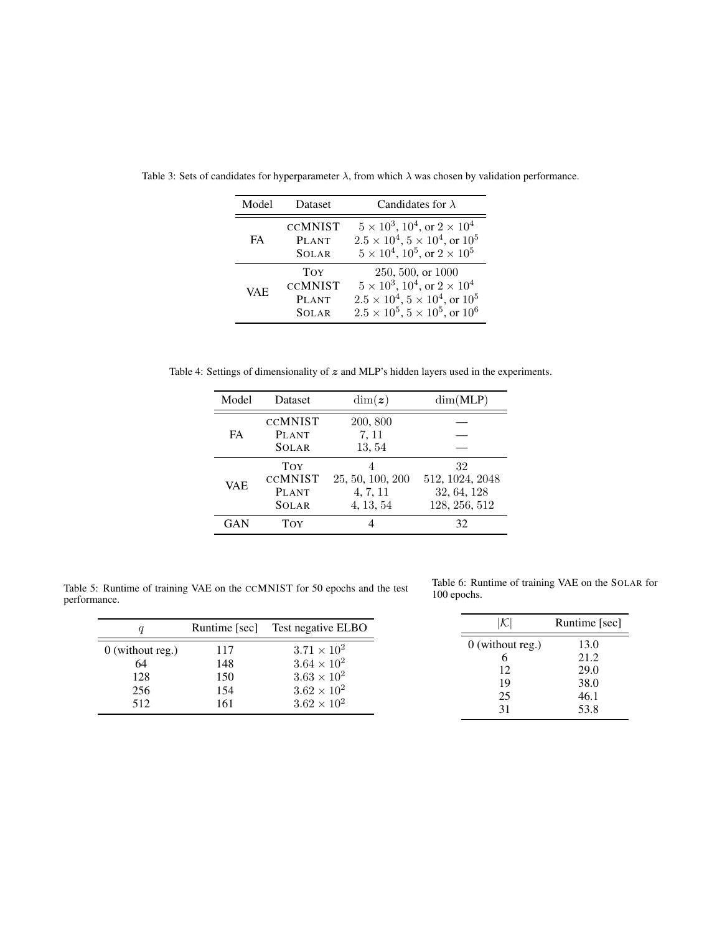| Model      | <b>Dataset</b>                                               | Candidates for $\lambda$                                                                                                                                                 |
|------------|--------------------------------------------------------------|--------------------------------------------------------------------------------------------------------------------------------------------------------------------------|
| FA         | <b>CCMNIST</b><br><b>PLANT</b><br><b>SOLAR</b>               | $5 \times 10^3$ , $10^4$ , or $2 \times 10^4$<br>$2.5 \times 10^4$ , $5 \times 10^4$ , or $10^5$<br>$5 \times 10^4$ , $10^5$ , or $2 \times 10^5$                        |
| <b>VAE</b> | <b>TOY</b><br><b>CCMNIST</b><br><b>PLANT</b><br><b>SOLAR</b> | 250, 500, or 1000<br>$5 \times 10^3$ , $10^4$ , or $2 \times 10^4$<br>$2.5 \times 10^4$ , $5 \times 10^4$ , or $10^5$<br>$2.5 \times 10^5$ , $5 \times 10^5$ , or $10^6$ |

<span id="page-10-0"></span>Table 3: Sets of candidates for hyperparameter  $\lambda$ , from which  $\lambda$  was chosen by validation performance.

Table 4: Settings of dimensionality of  $z$  and MLP's hidden layers used in the experiments.

| Model      | Dataset        | $\dim(z)$        | dim(MLP)        |
|------------|----------------|------------------|-----------------|
|            | <b>CCMNIST</b> | 200, 800         |                 |
| FA         | <b>PLANT</b>   | 7, 11            |                 |
|            | <b>SOLAR</b>   | 13, 54           |                 |
| VAE        | TOY            |                  | 32              |
|            | <b>CCMNIST</b> | 25, 50, 100, 200 | 512, 1024, 2048 |
|            | <b>PLANT</b>   | 4, 7, 11         | 32, 64, 128     |
|            | <b>SOLAR</b>   | 4, 13, 54        | 128, 256, 512   |
| <b>GAN</b> | TOY            |                  | 32              |

Table 5: Runtime of training VAE on the CCMNIST for 50 epochs and the test performance.

Table 6: Runtime of training VAE on the SOLAR for 100 epochs.

| a                                             | Runtime [sec]                   | Test negative ELBO                                                                                                   | $\cal K$                                   | Runtime [sec]                                |
|-----------------------------------------------|---------------------------------|----------------------------------------------------------------------------------------------------------------------|--------------------------------------------|----------------------------------------------|
| $0$ (without reg.)<br>64<br>128<br>256<br>512 | 117<br>148<br>150<br>154<br>161 | $3.71 \times 10^{2}$<br>$3.64 \times 10^{2}$<br>$3.63 \times 10^{2}$<br>$3.62 \times 10^{2}$<br>$3.62 \times 10^{2}$ | $0$ (without reg.)<br>12<br>19<br>25<br>31 | 13.0<br>21.2<br>29.0<br>38.0<br>46.1<br>53.8 |